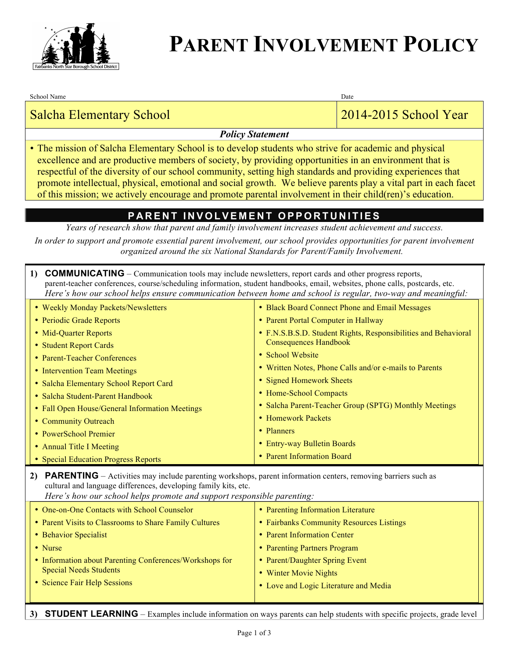

## **PARENT INVOLVEMENT POLICY**

School Name Date and the United School Name Date and the United School Name Date

### Salcha Elementary School 2014-2015 School Year

### *Policy Statement*

• The mission of Salcha Elementary School is to develop students who strive for academic and physical excellence and are productive members of society, by providing opportunities in an environment that is respectful of the diversity of our school community, setting high standards and providing experiences that promote intellectual, physical, emotional and social growth. We believe parents play a vital part in each facet of this mission; we actively encourage and promote parental involvement in their child(ren)'s education.

### **PARENT INVOLVEMENT OPPORTUNITIES**

*Years of research show that parent and family involvement increases student achievement and success.*

*In order to support and promote essential parent involvement, our school provides opportunities for parent involvement organized around the six National Standards for Parent/Family Involvement.*

|    | <b>COMMUNICATING</b> – Communication tools may include newsletters, report cards and other progress reports,<br>$\bf{1}$<br>parent-teacher conferences, course/scheduling information, student handbooks, email, websites, phone calls, postcards, etc.<br>Here's how our school helps ensure communication between home and school is regular, two-way and meaningful:                                                                                                                                                                                                                                                                                                                                      |                                                                                                                                                                                                                                                                                                                                                                                                                                                                                       |  |  |
|----|--------------------------------------------------------------------------------------------------------------------------------------------------------------------------------------------------------------------------------------------------------------------------------------------------------------------------------------------------------------------------------------------------------------------------------------------------------------------------------------------------------------------------------------------------------------------------------------------------------------------------------------------------------------------------------------------------------------|---------------------------------------------------------------------------------------------------------------------------------------------------------------------------------------------------------------------------------------------------------------------------------------------------------------------------------------------------------------------------------------------------------------------------------------------------------------------------------------|--|--|
| 2) | • Weekly Monday Packets/Newsletters<br>• Periodic Grade Reports<br>• Mid-Quarter Reports<br>• Student Report Cards<br>• Parent-Teacher Conferences<br>• Intervention Team Meetings<br>• Salcha Elementary School Report Card<br>• Salcha Student-Parent Handbook<br>• Fall Open House/General Information Meetings<br>• Community Outreach<br>• PowerSchool Premier<br>• Annual Title I Meeting<br>• Special Education Progress Reports<br><b>PARENTING</b> – Activities may include parenting workshops, parent information centers, removing barriers such as<br>cultural and language differences, developing family kits, etc.<br>Here's how our school helps promote and support responsible parenting: | • Black Board Connect Phone and Email Messages<br>• Parent Portal Computer in Hallway<br>• F.N.S.B.S.D. Student Rights, Responsibilities and Behavioral<br><b>Consequences Handbook</b><br>• School Website<br>• Written Notes, Phone Calls and/or e-mails to Parents<br>• Signed Homework Sheets<br>• Home-School Compacts<br>• Salcha Parent-Teacher Group (SPTG) Monthly Meetings<br>• Homework Packets<br>• Planners<br>• Entry-way Bulletin Boards<br>• Parent Information Board |  |  |
|    | • One-on-One Contacts with School Counselor<br>• Parent Visits to Classrooms to Share Family Cultures<br>• Behavior Specialist<br>• Nurse<br>• Information about Parenting Conferences/Workshops for<br><b>Special Needs Students</b><br>• Science Fair Help Sessions                                                                                                                                                                                                                                                                                                                                                                                                                                        | • Parenting Information Literature<br>• Fairbanks Community Resources Listings<br>• Parent Information Center<br>• Parenting Partners Program<br>• Parent/Daughter Spring Event<br>• Winter Movie Nights<br>• Love and Logic Literature and Media                                                                                                                                                                                                                                     |  |  |

**3) STUDENT LEARNING** – Examples include information on ways parents can help students with specific projects, grade level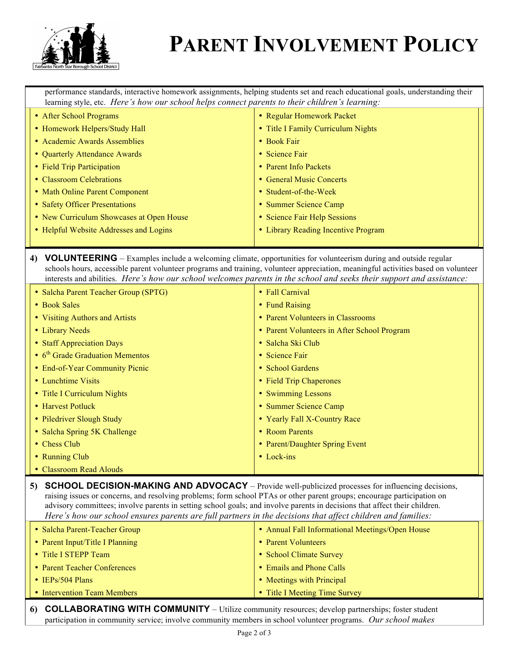

# **PARENT INVOLVEMENT POLICY**

performance standards, interactive homework assignments, helping students set and reach educational goals, understanding their learning style, etc. *Here's how our school helps connect parents to their children's learning:*

| • After School Programs                  | • Regular Homework Packet           |
|------------------------------------------|-------------------------------------|
| • Homework Helpers/Study Hall            | • Title I Family Curriculum Nights  |
| • Academic Awards Assemblies             | • Book Fair                         |
| • Quarterly Attendance Awards            | • Science Fair                      |
| • Field Trip Participation               | • Parent Info Packets               |
| • Classroom Celebrations                 | • General Music Concerts            |
| • Math Online Parent Component           | • Student-of-the-Week               |
| • Safety Officer Presentations           | • Summer Science Camp               |
| • New Curriculum Showcases at Open House | • Science Fair Help Sessions        |
| • Helpful Website Addresses and Logins   | • Library Reading Incentive Program |
|                                          |                                     |

#### **4) VOLUNTEERING** – Examples include a welcoming climate, opportunities for volunteerism during and outside regular schools hours, accessible parent volunteer programs and training, volunteer appreciation, meaningful activities based on volunteer interests and abilities. *Here's how our school welcomes parents in the school and seeks their support and assistance:*

| • Salcha Parent Teacher Group (SPTG)                | • Fall Carnival                             |
|-----------------------------------------------------|---------------------------------------------|
| • Book Sales                                        | • Fund Raising                              |
| • Visiting Authors and Artists                      | • Parent Volunteers in Classrooms           |
| • Library Needs                                     | • Parent Volunteers in After School Program |
| • Staff Appreciation Days                           | • Salcha Ski Club                           |
| $\bullet$ 6 <sup>th</sup> Grade Graduation Mementos | • Science Fair                              |
| • End-of-Year Community Picnic                      | • School Gardens                            |
| • Lunchtime Visits                                  | • Field Trip Chaperones                     |
| • Title I Curriculum Nights                         | • Swimming Lessons                          |
| • Harvest Potluck                                   | • Summer Science Camp                       |
| • Piledriver Slough Study                           | • Yearly Fall X-Country Race                |
| • Salcha Spring 5K Challenge                        | • Room Parents                              |
| • Chess Club                                        | • Parent/Daughter Spring Event              |
| • Running Club                                      | $\bullet$ Lock-ins                          |
| • Classroom Read Alouds                             |                                             |

**5) SCHOOL DECISION-MAKING AND ADVOCACY** – Provide well-publicized processes for influencing decisions, raising issues or concerns, and resolving problems; form school PTAs or other parent groups; encourage participation on advisory committees; involve parents in setting school goals; and involve parents in decisions that affect their children. *Here's how our school ensures parents are full partners in the decisions that affect children and families:*

| • Salcha Parent-Teacher Group   | • Annual Fall Informational Meetings/Open House |
|---------------------------------|-------------------------------------------------|
| • Parent Input/Title I Planning | • Parent Volunteers                             |
| • Title I STEPP Team            | • School Climate Survey                         |
| • Parent Teacher Conferences    | • Emails and Phone Calls                        |
| $\cdot$ IEPs/504 Plans          | • Meetings with Principal                       |
| • Intervention Team Members     | • Title I Meeting Time Survey                   |

**6) COLLABORATING WITH COMMUNITY** – Utilize community resources; develop partnerships; foster student participation in community service; involve community members in school volunteer programs. *Our school makes*